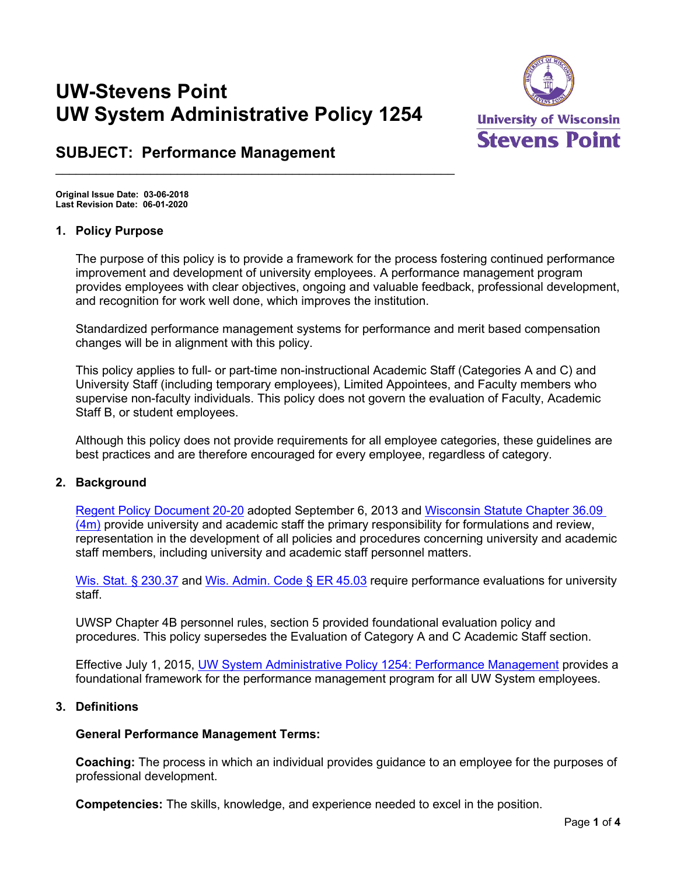# **UW-Stevens Point UW System Administrative Policy 1254**

 $\_$  , and the set of the set of the set of the set of the set of the set of the set of the set of the set of the set of the set of the set of the set of the set of the set of the set of the set of the set of the set of th



# **SUBJECT: Performance Management**

**Original Issue Date: 03-06-2018 Last Revision Date: 06-01-2020**

# **1. Policy Purpose**

The purpose of this policy is to provide a framework for the process fostering continued performance improvement and development of university employees. A performance management program provides employees with clear objectives, ongoing and valuable feedback, professional development, and recognition for work well done, which improves the institution.

Standardized performance management systems for performance and merit based compensation changes will be in alignment with this policy.

This policy applies to full- or part-time non-instructional Academic Staff (Categories A and C) and University Staff (including temporary employees), Limited Appointees, and Faculty members who supervise non-faculty individuals. This policy does not govern the evaluation of Faculty, Academic Staff B, or student employees.

Although this policy does not provide requirements for all employee categories, these guidelines are best practices and are therefore encouraged for every employee, regardless of category.

#### **2. Background**

[Regent Policy Document 20-20](https://www.wisconsin.edu/regents/policies/university-staff-governance/) adopted September 6, 2013 and [Wisconsin Statute Chapter 36.09](https://docs.legis.wisconsin.gov/statutes/statutes/36/09/4m)   $\overline{(4m)}$  $\overline{(4m)}$  $\overline{(4m)}$  provide university and academic staff the primary responsibility for formulations and review, representation in the development of all policies and procedures concerning university and academic staff members, including university and academic staff personnel matters.

[Wis. Stat. § 230.37](https://docs.legis.wisconsin.gov/statutes/statutes/230/II/37) and [Wis. Admin. Code § ER 45.03](https://docs.legis.wisconsin.gov/code/admin_code/er/45/03) require performance evaluations for university staff.

UWSP Chapter 4B personnel rules, section 5 provided foundational evaluation policy and procedures. This policy supersedes the Evaluation of Category A and C Academic Staff section.

Effective July 1, 2015, [UW System Administrative Policy 1254: Performance Management](https://www.wisconsin.edu/uw-policies/uw-system-administrative-policies/performance-management/) provides a foundational framework for the performance management program for all UW System employees.

# **3. Definitions**

#### **General Performance Management Terms:**

**Coaching:** The process in which an individual provides guidance to an employee for the purposes of professional development.

**Competencies:** The skills, knowledge, and experience needed to excel in the position.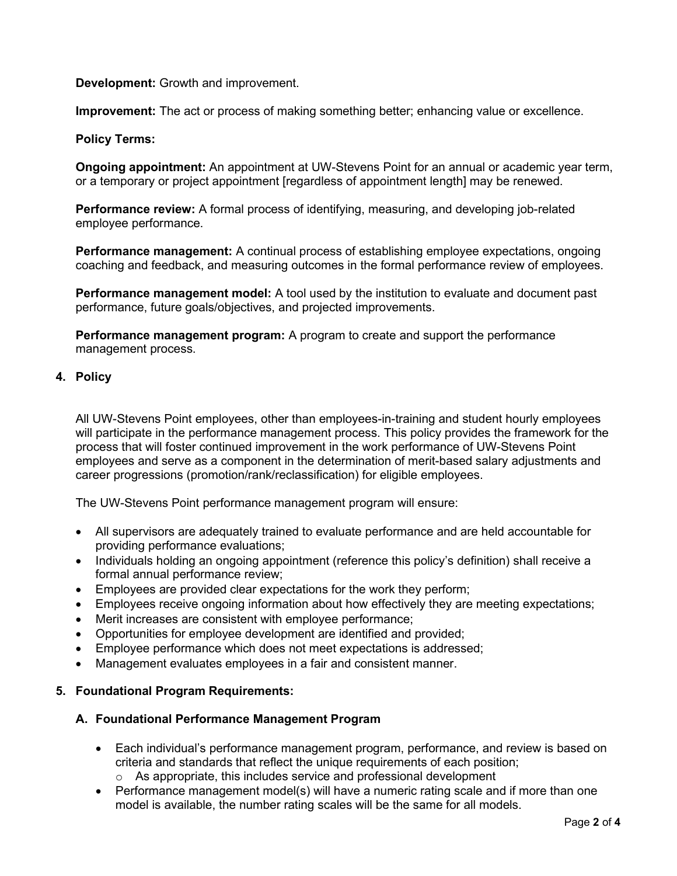**Development:** Growth and improvement.

**Improvement:** The act or process of making something better; enhancing value or excellence.

# **Policy Terms:**

**Ongoing appointment:** An appointment at UW-Stevens Point for an annual or academic year term, or a temporary or project appointment [regardless of appointment length] may be renewed.

**Performance review:** A formal process of identifying, measuring, and developing job-related employee performance.

**Performance management:** A continual process of establishing employee expectations, ongoing coaching and feedback, and measuring outcomes in the formal performance review of employees.

**Performance management model:** A tool used by the institution to evaluate and document past performance, future goals/objectives, and projected improvements.

**Performance management program:** A program to create and support the performance management process.

# **4. Policy**

All UW-Stevens Point employees, other than employees-in-training and student hourly employees will participate in the performance management process. This policy provides the framework for the process that will foster continued improvement in the work performance of UW-Stevens Point employees and serve as a component in the determination of merit-based salary adjustments and career progressions (promotion/rank/reclassification) for eligible employees.

The UW-Stevens Point performance management program will ensure:

- All supervisors are adequately trained to evaluate performance and are held accountable for providing performance evaluations;
- Individuals holding an ongoing appointment (reference this policy's definition) shall receive a formal annual performance review;
- Employees are provided clear expectations for the work they perform;
- Employees receive ongoing information about how effectively they are meeting expectations;
- Merit increases are consistent with employee performance;
- Opportunities for employee development are identified and provided;
- Employee performance which does not meet expectations is addressed;
- Management evaluates employees in a fair and consistent manner.

# **5. Foundational Program Requirements:**

#### **A. Foundational Performance Management Program**

- Each individual's performance management program, performance, and review is based on criteria and standards that reflect the unique requirements of each position;
	- $\circ$  As appropriate, this includes service and professional development
- Performance management model(s) will have a numeric rating scale and if more than one model is available, the number rating scales will be the same for all models.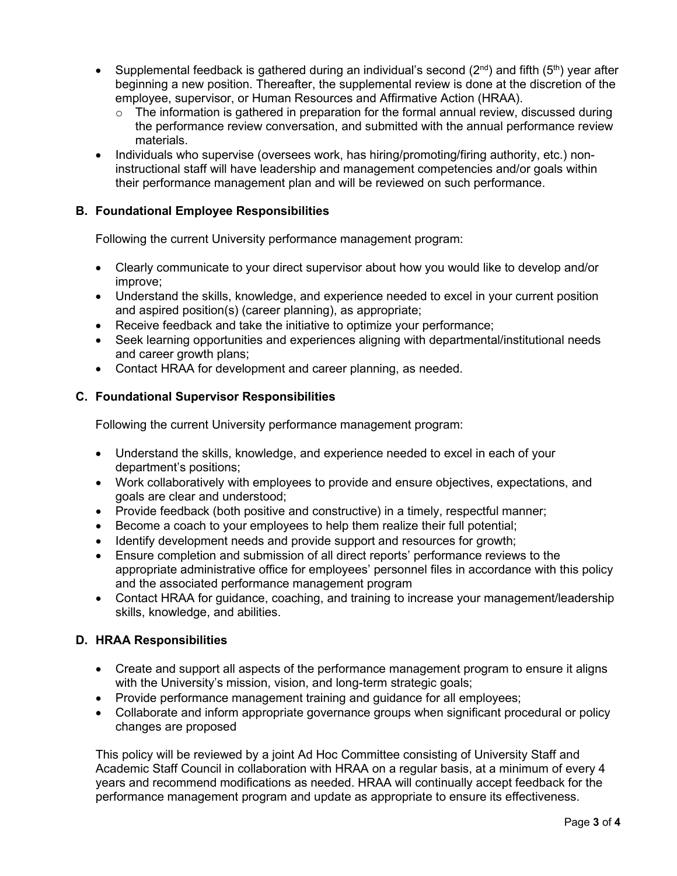- Supplemental feedback is gathered during an individual's second  $(2^{nd})$  and fifth  $(5^{th})$  year after beginning a new position. Thereafter, the supplemental review is done at the discretion of the employee, supervisor, or Human Resources and Affirmative Action (HRAA).
	- $\circ$  The information is gathered in preparation for the formal annual review, discussed during the performance review conversation, and submitted with the annual performance review materials.
- Individuals who supervise (oversees work, has hiring/promoting/firing authority, etc.) noninstructional staff will have leadership and management competencies and/or goals within their performance management plan and will be reviewed on such performance.

# **B. Foundational Employee Responsibilities**

Following the current University performance management program:

- Clearly communicate to your direct supervisor about how you would like to develop and/or improve;
- Understand the skills, knowledge, and experience needed to excel in your current position and aspired position(s) (career planning), as appropriate;
- Receive feedback and take the initiative to optimize your performance;
- Seek learning opportunities and experiences aligning with departmental/institutional needs and career growth plans;
- Contact HRAA for development and career planning, as needed.

# **C. Foundational Supervisor Responsibilities**

Following the current University performance management program:

- Understand the skills, knowledge, and experience needed to excel in each of your department's positions;
- Work collaboratively with employees to provide and ensure objectives, expectations, and goals are clear and understood;
- Provide feedback (both positive and constructive) in a timely, respectful manner;
- Become a coach to your employees to help them realize their full potential;
- Identify development needs and provide support and resources for growth;
- Ensure completion and submission of all direct reports' performance reviews to the appropriate administrative office for employees' personnel files in accordance with this policy and the associated performance management program
- Contact HRAA for guidance, coaching, and training to increase your management/leadership skills, knowledge, and abilities.

# **D. HRAA Responsibilities**

- Create and support all aspects of the performance management program to ensure it aligns with the University's mission, vision, and long-term strategic goals;
- Provide performance management training and guidance for all employees;
- Collaborate and inform appropriate governance groups when significant procedural or policy changes are proposed

This policy will be reviewed by a joint Ad Hoc Committee consisting of University Staff and Academic Staff Council in collaboration with HRAA on a regular basis, at a minimum of every 4 years and recommend modifications as needed. HRAA will continually accept feedback for the performance management program and update as appropriate to ensure its effectiveness.